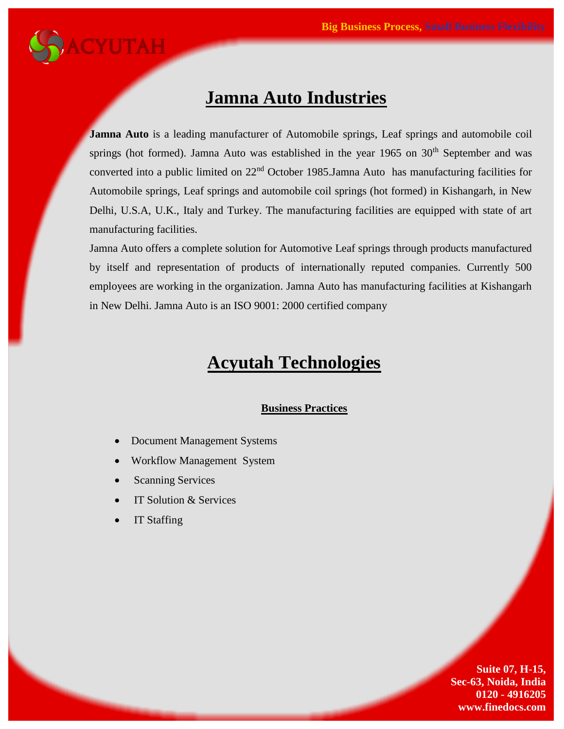

### **Jamna Auto Industries**

**Jamna Auto** is a leading manufacturer of Automobile springs, Leaf springs and automobile coil springs (hot formed). Jamna Auto was established in the year 1965 on 30<sup>th</sup> September and was converted into a public limited on 22nd October 1985.Jamna Auto has manufacturing facilities for Automobile springs, Leaf springs and automobile coil springs (hot formed) in Kishangarh, in New Delhi, U.S.A, U.K., Italy and Turkey. The manufacturing facilities are equipped with state of art manufacturing facilities.

Jamna Auto offers a complete solution for Automotive Leaf springs through products manufactured by itself and representation of products of internationally reputed companies. Currently 500 employees are working in the organization. Jamna Auto has manufacturing facilities at Kishangarh in New Delhi. Jamna Auto is an ISO 9001: 2000 certified company

## **Acyutah Technologies**

#### **Business Practices**

- Document Management Systems
- Workflow Management System
- Scanning Services
- IT Solution & Services
- IT Staffing

**Suite 07, H-15, Sec-63, Noida, India 0120 - 4916205 www.finedocs.com**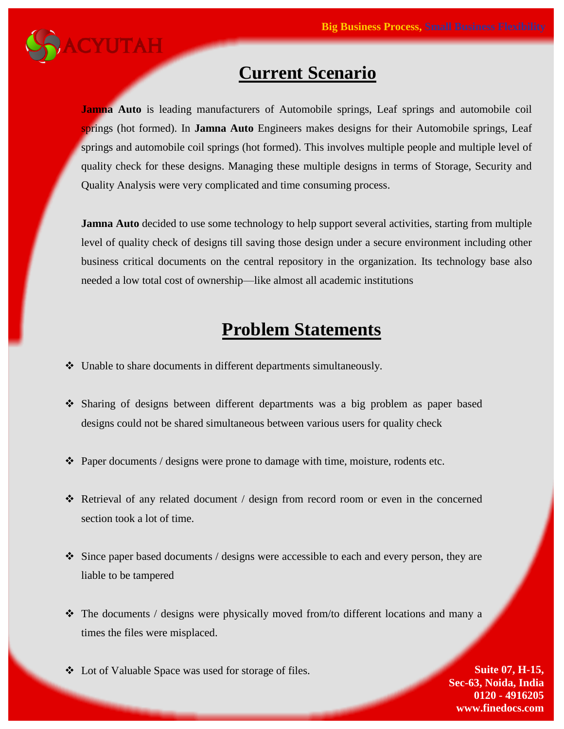

## **Current Scenario**

**Jamna Auto** is leading manufacturers of Automobile springs, Leaf springs and automobile coil springs (hot formed). In **Jamna Auto** Engineers makes designs for their Automobile springs, Leaf springs and automobile coil springs (hot formed). This involves multiple people and multiple level of quality check for these designs. Managing these multiple designs in terms of Storage, Security and Quality Analysis were very complicated and time consuming process.

**Jamna Auto** decided to use some technology to help support several activities, starting from multiple level of quality check of designs till saving those design under a secure environment including other business critical documents on the central repository in the organization. Its technology base also needed a low total cost of ownership—like almost all academic institutions

## **Problem Statements**

- $\div$  Unable to share documents in different departments simultaneously.
- Sharing of designs between different departments was a big problem as paper based designs could not be shared simultaneous between various users for quality check
- $\triangle$  Paper documents / designs were prone to damage with time, moisture, rodents etc.
- Retrieval of any related document / design from record room or even in the concerned section took a lot of time.
- $\hat{\mathbf{v}}$  Since paper based documents / designs were accessible to each and every person, they are liable to be tampered
- The documents / designs were physically moved from/to different locations and many a times the files were misplaced.
- ◆ Lot of Valuable Space was used for storage of files. Suite 07, **H-15,**

**Sec-63, Noida, India 0120 - 4916205 www.finedocs.com**